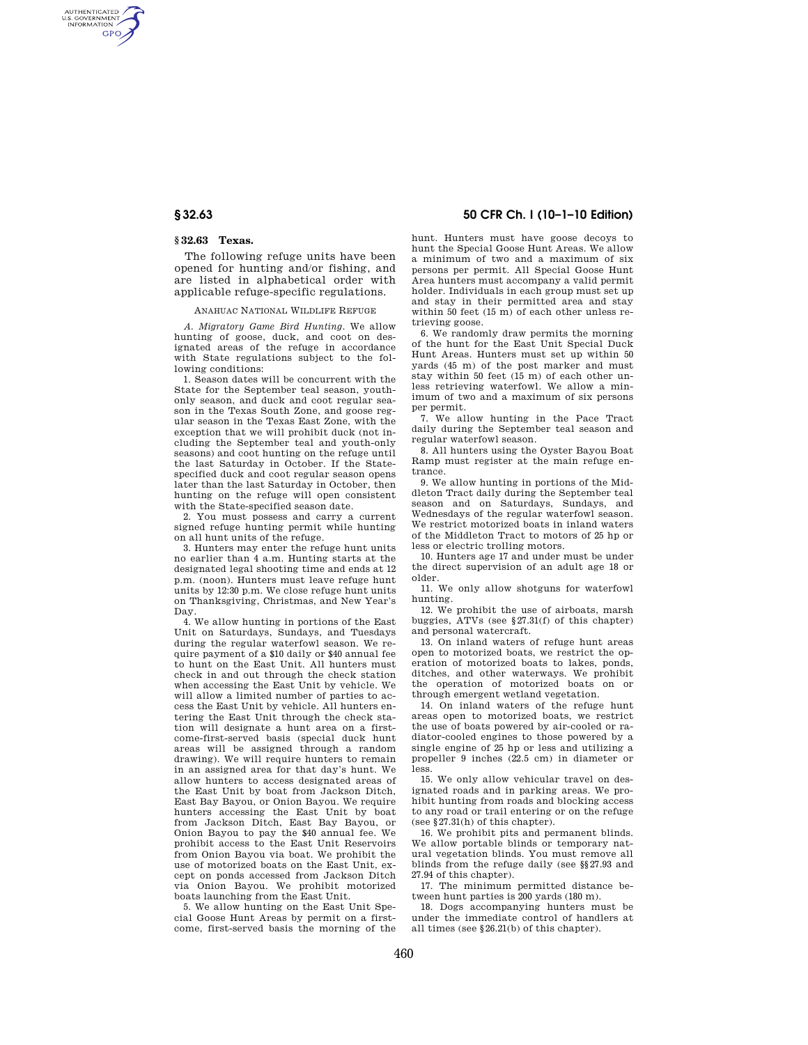AUTHENTICATED<br>U.S. GOVERNMENT<br>INFORMATION **GPO** 

## **§ 32.63 Texas.**

The following refuge units have been opened for hunting and/or fishing, and are listed in alphabetical order with applicable refuge-specific regulations.

## ANAHUAC NATIONAL WILDLIFE REFUGE

*A. Migratory Game Bird Hunting.* We allow hunting of goose, duck, and coot on designated areas of the refuge in accordance with State regulations subject to the following conditions:

1. Season dates will be concurrent with the State for the September teal season, youthonly season, and duck and coot regular season in the Texas South Zone, and goose regular season in the Texas East Zone, with the exception that we will prohibit duck (not including the September teal and youth-only seasons) and coot hunting on the refuge until the last Saturday in October. If the Statespecified duck and coot regular season opens later than the last Saturday in October, then hunting on the refuge will open consistent with the State-specified season date.

2. You must possess and carry a current signed refuge hunting permit while hunting on all hunt units of the refuge.

3. Hunters may enter the refuge hunt units no earlier than 4 a.m. Hunting starts at the designated legal shooting time and ends at 12 p.m. (noon). Hunters must leave refuge hunt units by 12:30 p.m. We close refuge hunt units on Thanksgiving, Christmas, and New Year's Day.

4. We allow hunting in portions of the East Unit on Saturdays, Sundays, and Tuesdays during the regular waterfowl season. We require payment of a \$10 daily or \$40 annual fee to hunt on the East Unit. All hunters must check in and out through the check station when accessing the East Unit by vehicle. We will allow a limited number of parties to access the East Unit by vehicle. All hunters entering the East Unit through the check station will designate a hunt area on a firstcome-first-served basis (special duck hunt areas will be assigned through a random drawing). We will require hunters to remain in an assigned area for that day's hunt. We allow hunters to access designated areas of the East Unit by boat from Jackson Ditch, East Bay Bayou, or Onion Bayou. We require hunters accessing the East Unit by boat from Jackson Ditch, East Bay Bayou, or Onion Bayou to pay the \$40 annual fee. We prohibit access to the East Unit Reservoirs from Onion Bayou via boat. We prohibit the use of motorized boats on the East Unit, except on ponds accessed from Jackson Ditch via Onion Bayou. We prohibit motorized boats launching from the East Unit.

5. We allow hunting on the East Unit Special Goose Hunt Areas by permit on a firstcome, first-served basis the morning of the

## **§ 32.63 50 CFR Ch. I (10–1–10 Edition)**

hunt. Hunters must have goose decoys to hunt the Special Goose Hunt Areas. We allow a minimum of two and a maximum of six persons per permit. All Special Goose Hunt Area hunters must accompany a valid permit holder. Individuals in each group must set up and stay in their permitted area and stay within 50 feet (15 m) of each other unless retrieving goose.

6. We randomly draw permits the morning of the hunt for the East Unit Special Duck Hunt Areas. Hunters must set up within 50 yards (45 m) of the post marker and must stay within 50 feet (15 m) of each other unless retrieving waterfowl. We allow a minimum of two and a maximum of six persons per permit.

7. We allow hunting in the Pace Tract daily during the September teal season and regular waterfowl season.

8. All hunters using the Oyster Bayou Boat Ramp must register at the main refuge entrance.

9. We allow hunting in portions of the Middleton Tract daily during the September teal season and on Saturdays, Sundays, and Wednesdays of the regular waterfowl season. We restrict motorized boats in inland waters of the Middleton Tract to motors of 25 hp or less or electric trolling motors.

10. Hunters age 17 and under must be under the direct supervision of an adult age 18 or older.

11. We only allow shotguns for waterfowl hunting.

12. We prohibit the use of airboats, marsh buggies, ATVs (see §27.31(f) of this chapter) and personal watercraft.

13. On inland waters of refuge hunt areas open to motorized boats, we restrict the operation of motorized boats to lakes, ponds, ditches, and other waterways. We prohibit the operation of motorized boats on or through emergent wetland vegetation.

14. On inland waters of the refuge hunt areas open to motorized boats, we restrict the use of boats powered by air-cooled or radiator-cooled engines to those powered by a single engine of 25 hp or less and utilizing a propeller 9 inches (22.5 cm) in diameter or less.

15. We only allow vehicular travel on designated roads and in parking areas. We prohibit hunting from roads and blocking access to any road or trail entering or on the refuge (see §27.31(h) of this chapter).

16. We prohibit pits and permanent blinds. We allow portable blinds or temporary natural vegetation blinds. You must remove all blinds from the refuge daily (see §§27.93 and 27.94 of this chapter).

17. The minimum permitted distance between hunt parties is 200 yards (180 m).

18. Dogs accompanying hunters must be under the immediate control of handlers at all times (see §26.21(b) of this chapter).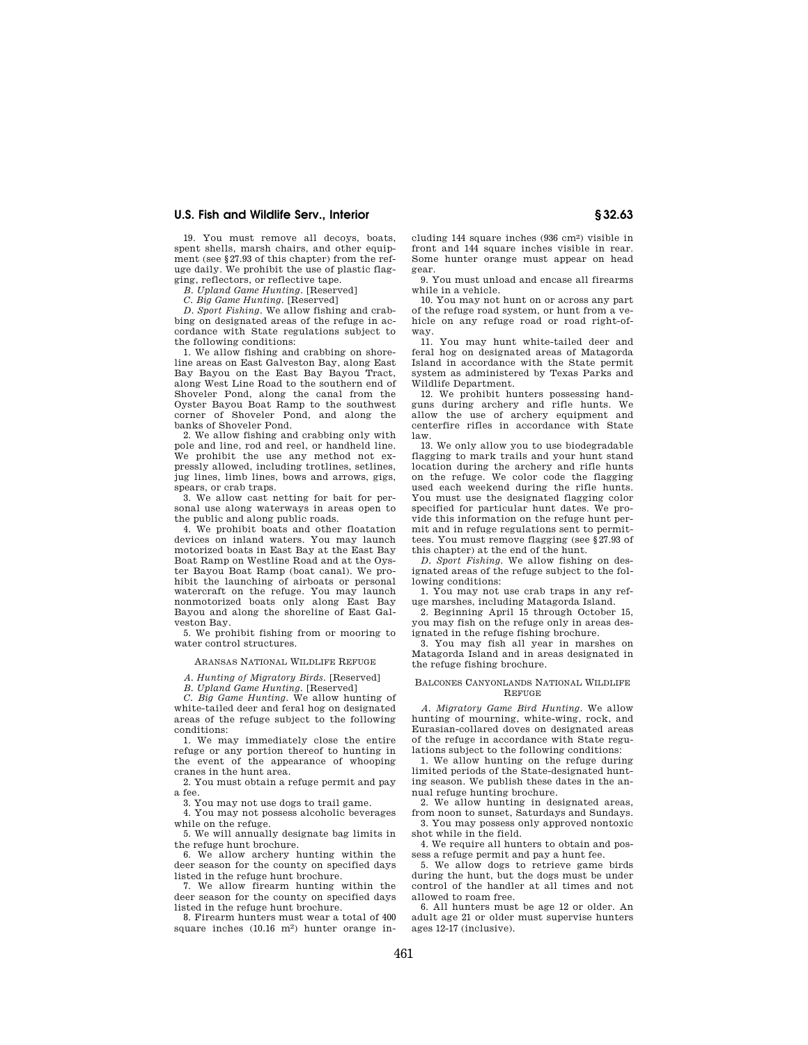19. You must remove all decoys, boats, spent shells, marsh chairs, and other equipment (see §27.93 of this chapter) from the refuge daily. We prohibit the use of plastic flagging, reflectors, or reflective tape.

*B. Upland Game Hunting.* [Reserved]

*C. Big Game Hunting.* [Reserved]

*D. Sport Fishing*. We allow fishing and crabbing on designated areas of the refuge in accordance with State regulations subject to the following conditions:

1. We allow fishing and crabbing on shoreline areas on East Galveston Bay, along East Bay Bayou on the East Bay Bayou Tract, along West Line Road to the southern end of Shoveler Pond, along the canal from the Oyster Bayou Boat Ramp to the southwest corner of Shoveler Pond, and along the banks of Shoveler Pond.

2. We allow fishing and crabbing only with pole and line, rod and reel, or handheld line. We prohibit the use any method not expressly allowed, including trotlines, setlines, jug lines, limb lines, bows and arrows, gigs, spears, or crab traps.

3. We allow cast netting for bait for personal use along waterways in areas open to the public and along public roads.

4. We prohibit boats and other floatation devices on inland waters. You may launch motorized boats in East Bay at the East Bay Boat Ramp on Westline Road and at the Oyster Bayou Boat Ramp (boat canal). We prohibit the launching of airboats or personal watercraft on the refuge. You may launch nonmotorized boats only along East Bay Bayou and along the shoreline of East Galveston Bay.

5. We prohibit fishing from or mooring to water control structures.

## ARANSAS NATIONAL WILDLIFE REFUGE

*A. Hunting of Migratory Birds.* [Reserved]

*B. Upland Game Hunting.* [Reserved]

*C. Big Game Hunting.* We allow hunting of white-tailed deer and feral hog on designated areas of the refuge subject to the following conditions:

1. We may immediately close the entire refuge or any portion thereof to hunting in the event of the appearance of whooping cranes in the hunt area.

2. You must obtain a refuge permit and pay a fee.

3. You may not use dogs to trail game. 4. You may not possess alcoholic beverages

while on the refuge. 5. We will annually designate bag limits in

the refuge hunt brochure. 6. We allow archery hunting within the deer season for the county on specified days listed in the refuge hunt brochure.

7. We allow firearm hunting within the deer season for the county on specified days listed in the refuge hunt brochure.

8. Firearm hunters must wear a total of 400 square inches (10.16 m<sup>2</sup>) hunter orange in-

cluding 144 square inches (936 cm2) visible in front and 144 square inches visible in rear. Some hunter orange must appear on head gear.

9. You must unload and encase all firearms while in a vehicle.

10. You may not hunt on or across any part of the refuge road system, or hunt from a vehicle on any refuge road or road right-ofway.

11. You may hunt white-tailed deer and feral hog on designated areas of Matagorda Island in accordance with the State permit system as administered by Texas Parks and Wildlife Department.

12. We prohibit hunters possessing handguns during archery and rifle hunts. We allow the use of archery equipment and centerfire rifles in accordance with State law.

13. We only allow you to use biodegradable flagging to mark trails and your hunt stand location during the archery and rifle hunts on the refuge. We color code the flagging used each weekend during the rifle hunts. You must use the designated flagging color specified for particular hunt dates. We provide this information on the refuge hunt permit and in refuge regulations sent to permittees. You must remove flagging (see §27.93 of this chapter) at the end of the hunt.

*D. Sport Fishing.* We allow fishing on designated areas of the refuge subject to the following conditions:

1. You may not use crab traps in any refuge marshes, including Matagorda Island.

2. Beginning April 15 through October 15, you may fish on the refuge only in areas designated in the refuge fishing brochure.

3. You may fish all year in marshes on Matagorda Island and in areas designated in the refuge fishing brochure.

#### BALCONES CANYONLANDS NATIONAL WILDLIFE REFUGE

*A. Migratory Game Bird Hunting.* We allow hunting of mourning, white-wing, rock, and Eurasian-collared doves on designated areas of the refuge in accordance with State regulations subject to the following conditions:

1. We allow hunting on the refuge during limited periods of the State-designated hunting season. We publish these dates in the annual refuge hunting brochure.

2. We allow hunting in designated areas, from noon to sunset, Saturdays and Sundays. 3. You may possess only approved nontoxic

shot while in the field. 4. We require all hunters to obtain and pos-

sess a refuge permit and pay a hunt fee. 5. We allow dogs to retrieve game birds during the hunt, but the dogs must be under control of the handler at all times and not allowed to roam free.

6. All hunters must be age 12 or older. An adult age 21 or older must supervise hunters ages 12-17 (inclusive).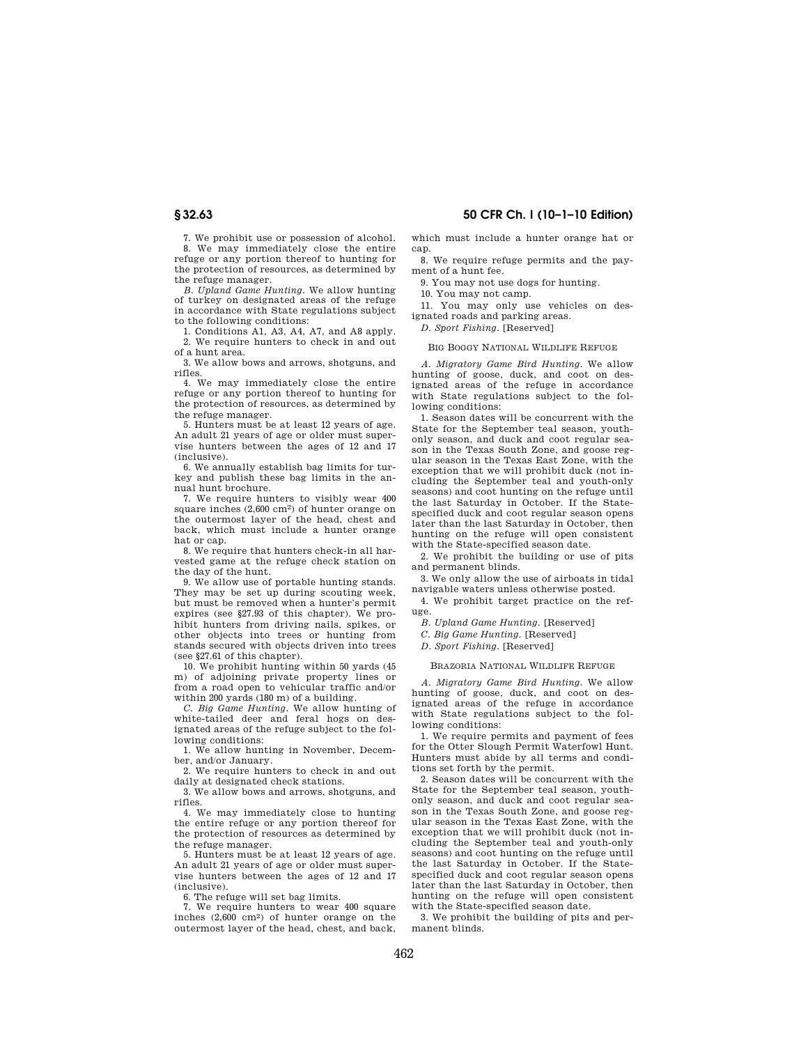**§ 32.63 50 CFR Ch. I (10–1–10 Edition)** 

7. We prohibit use or possession of alcohol. 8. We may immediately close the entire refuge or any portion thereof to hunting for the protection of resources, as determined by the refuge manager.

*B. Upland Game Hunting.* We allow hunting of turkey on designated areas of the refuge in accordance with State regulations subject to the following conditions:

1. Conditions A1, A3, A4, A7, and A8 apply. 2. We require hunters to check in and out of a hunt area.

3. We allow bows and arrows, shotguns, and rifles.

4. We may immediately close the entire refuge or any portion thereof to hunting for the protection of resources, as determined by the refuge manager.

5. Hunters must be at least 12 years of age. An adult 21 years of age or older must supervise hunters between the ages of 12 and 17 (inclusive).

6. We annually establish bag limits for turkey and publish these bag limits in the annual hunt brochure.

7. We require hunters to visibly wear 400 square inches (2,600 cm2) of hunter orange on the outermost layer of the head, chest and back, which must include a hunter orange hat or cap.

8. We require that hunters check-in all harvested game at the refuge check station on the day of the hunt.

9. We allow use of portable hunting stands. They may be set up during scouting week, but must be removed when a hunter's permit expires (see §27.93 of this chapter). We prohibit hunters from driving nails, spikes, or other objects into trees or hunting from stands secured with objects driven into trees (see §27.61 of this chapter).

10. We prohibit hunting within 50 yards (45 m) of adjoining private property lines or from a road open to vehicular traffic and/or within 200 yards (180 m) of a building.

*C. Big Game Hunting.* We allow hunting of white-tailed deer and feral hogs on designated areas of the refuge subject to the following conditions:

1. We allow hunting in November, December, and/or January.

2. We require hunters to check in and out daily at designated check stations.

3. We allow bows and arrows, shotguns, and rifles.

4. We may immediately close to hunting the entire refuge or any portion thereof for the protection of resources as determined by the refuge manager.

5. Hunters must be at least 12 years of age. An adult 21 years of age or older must supervise hunters between the ages of 12 and 17 (inclusive).

6. The refuge will set bag limits.

7. We require hunters to wear 400 square inches (2,600 cm2) of hunter orange on the outermost layer of the head, chest, and back, which must include a hunter orange hat or cap.

8. We require refuge permits and the payment of a hunt fee.

9. You may not use dogs for hunting.

10. You may not camp.

11. You may only use vehicles on designated roads and parking areas.

*D. Sport Fishing.* [Reserved]

#### BIG BOGGY NATIONAL WILDLIFE REFUGE

*A. Migratory Game Bird Hunting.* We allow hunting of goose, duck, and coot on designated areas of the refuge in accordance with State regulations subject to the following conditions:

1. Season dates will be concurrent with the State for the September teal season, youthonly season, and duck and coot regular season in the Texas South Zone, and goose regular season in the Texas East Zone, with the exception that we will prohibit duck (not including the September teal and youth-only seasons) and coot hunting on the refuge until the last Saturday in October. If the Statespecified duck and coot regular season opens later than the last Saturday in October, then hunting on the refuge will open consistent with the State-specified season date.

2. We prohibit the building or use of pits and permanent blinds.

3. We only allow the use of airboats in tidal navigable waters unless otherwise posted.

4. We prohibit target practice on the refuge.

*B. Upland Game Hunting.* [Reserved]

*C. Big Game Hunting.* [Reserved]

*D. Sport Fishing.* [Reserved]

## BRAZORIA NATIONAL WILDLIFE REFUGE

*A. Migratory Game Bird Hunting.* We allow hunting of goose, duck, and coot on designated areas of the refuge in accordance with State regulations subject to the following conditions:

1. We require permits and payment of fees for the Otter Slough Permit Waterfowl Hunt. Hunters must abide by all terms and conditions set forth by the permit.

2. Season dates will be concurrent with the State for the September teal season, youthonly season, and duck and coot regular season in the Texas South Zone, and goose regular season in the Texas East Zone, with the exception that we will prohibit duck (not including the September teal and youth-only seasons) and coot hunting on the refuge until the last Saturday in October. If the Statespecified duck and coot regular season opens later than the last Saturday in October, then hunting on the refuge will open consistent with the State-specified season date.

3. We prohibit the building of pits and permanent blinds.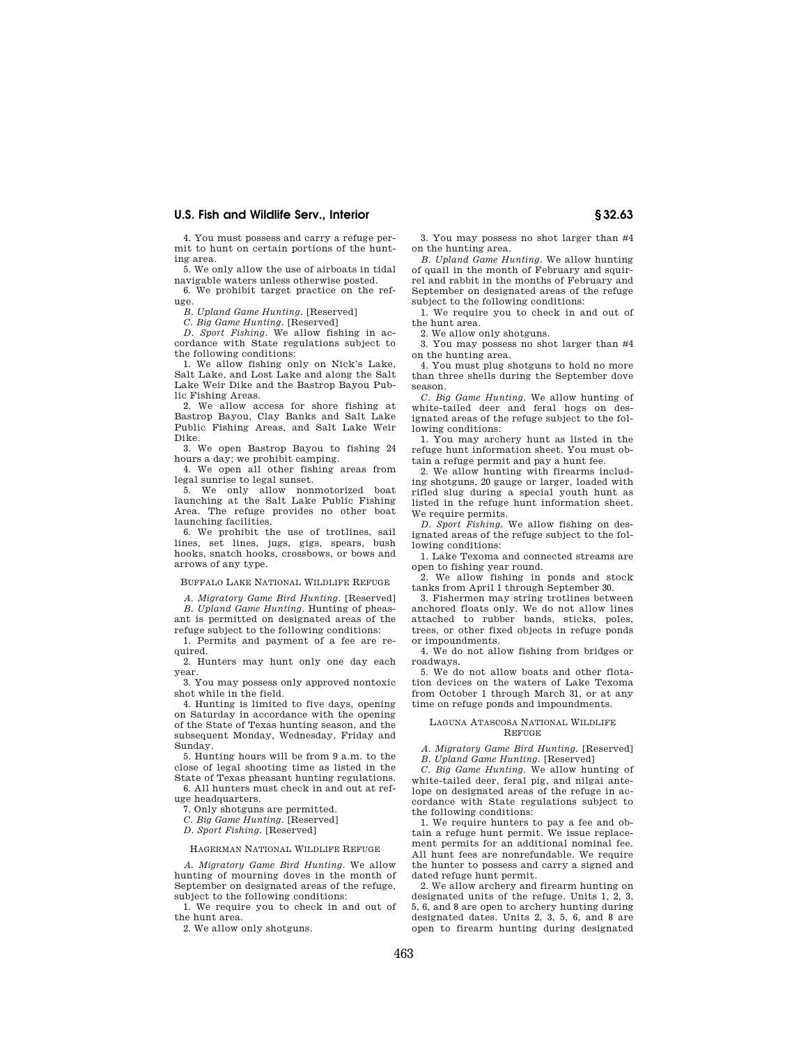4. You must possess and carry a refuge permit to hunt on certain portions of the hunting area.

5. We only allow the use of airboats in tidal navigable waters unless otherwise posted.

6. We prohibit target practice on the refuge.

*B. Upland Game Hunting.* [Reserved]

*C. Big Game Hunting.* [Reserved] *D. Sport Fishing*. We allow fishing in ac-

cordance with State regulations subject to the following conditions:

1. We allow fishing only on Nick's Lake, Salt Lake, and Lost Lake and along the Salt Lake Weir Dike and the Bastrop Bayou Public Fishing Areas.

2. We allow access for shore fishing at Bastrop Bayou, Clay Banks and Salt Lake Public Fishing Areas, and Salt Lake Weir Dike.

3. We open Bastrop Bayou to fishing 24 hours a day; we prohibit camping.

4. We open all other fishing areas from legal sunrise to legal sunset.

5. We only allow nonmotorized boat launching at the Salt Lake Public Fishing Area. The refuge provides no other boat launching facilities.

6. We prohibit the use of trotlines, sail lines, set lines, jugs, gigs, spears, bush hooks, snatch hooks, crossbows, or bows and arrows of any type.

## BUFFALO LAKE NATIONAL WILDLIFE REFUGE

*A. Migratory Game Bird Hunting.* [Reserved] *B. Upland Game Hunting.* Hunting of pheasant is permitted on designated areas of the

refuge subject to the following conditions: 1. Permits and payment of a fee are re-

quired. 2. Hunters may hunt only one day each

year.

3. You may possess only approved nontoxic shot while in the field.

4. Hunting is limited to five days, opening on Saturday in accordance with the opening of the State of Texas hunting season, and the subsequent Monday, Wednesday, Friday and Sunday.

5. Hunting hours will be from 9 a.m. to the close of legal shooting time as listed in the State of Texas pheasant hunting regulations.

6. All hunters must check in and out at refuge headquarters.

7. Only shotguns are permitted.

*C. Big Game Hunting.* [Reserved]

*D. Sport Fishing.* [Reserved]

## HAGERMAN NATIONAL WILDLIFE REFUGE

*A. Migratory Game Bird Hunting.* We allow hunting of mourning doves in the month of September on designated areas of the refuge, subject to the following conditions:

1. We require you to check in and out of the hunt area.

2. We allow only shotguns.

3. You may possess no shot larger than #4 on the hunting area.

*B. Upland Game Hunting.* We allow hunting of quail in the month of February and squirrel and rabbit in the months of February and September on designated areas of the refuge subject to the following conditions:

1. We require you to check in and out of the hunt area.

2. We allow only shotguns.

3. You may possess no shot larger than #4 on the hunting area.

4. You must plug shotguns to hold no more than three shells during the September dove season.

*C. Big Game Hunting.* We allow hunting of white-tailed deer and feral hogs on designated areas of the refuge subject to the following conditions:

1. You may archery hunt as listed in the refuge hunt information sheet. You must obtain a refuge permit and pay a hunt fee.

2. We allow hunting with firearms including shotguns, 20 gauge or larger, loaded with rifled slug during a special youth hunt as listed in the refuge hunt information sheet. We require permits.

*D. Sport Fishing.* We allow fishing on designated areas of the refuge subject to the following conditions:

1. Lake Texoma and connected streams are open to fishing year round.

2. We allow fishing in ponds and stock tanks from April 1 through September 30.

3. Fishermen may string trotlines between anchored floats only. We do not allow lines attached to rubber bands, sticks, poles, trees, or other fixed objects in refuge ponds or impoundments.

4. We do not allow fishing from bridges or roadways.

5. We do not allow boats and other flotation devices on the waters of Lake Texoma from October 1 through March 31, or at any time on refuge ponds and impoundments.

## LAGUNA ATASCOSA NATIONAL WILDLIFE REFUGE

*A. Migratory Game Bird Hunting.* [Reserved] *B. Upland Game Hunting.* [Reserved]

*C. Big Game Hunting.* We allow hunting of white-tailed deer, feral pig, and nilgai antelope on designated areas of the refuge in accordance with State regulations subject to the following conditions:

1. We require hunters to pay a fee and obtain a refuge hunt permit. We issue replacement permits for an additional nominal fee. All hunt fees are nonrefundable. We require the hunter to possess and carry a signed and dated refuge hunt permit.

2. We allow archery and firearm hunting on designated units of the refuge. Units 1, 2, 3, 5, 6, and 8 are open to archery hunting during designated dates. Units 2, 3, 5, 6, and 8 are open to firearm hunting during designated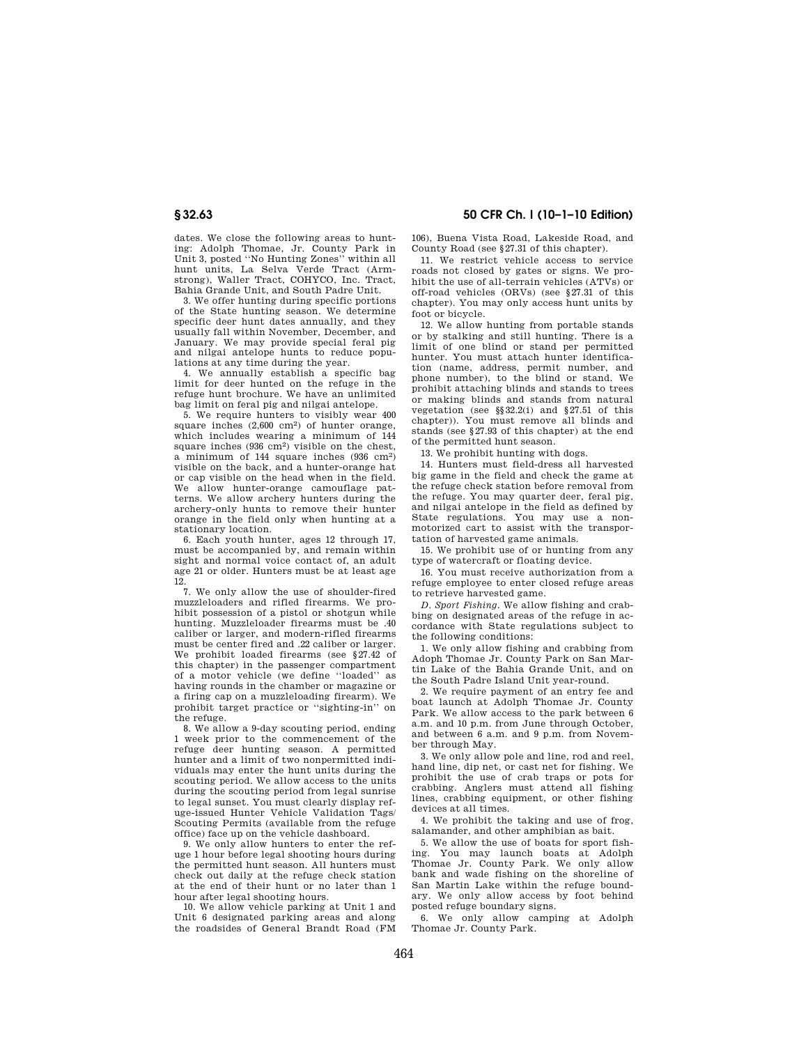dates. We close the following areas to hunting: Adolph Thomae, Jr. County Park in Unit 3, posted ''No Hunting Zones'' within all hunt units, La Selva Verde Tract (Armstrong), Waller Tract, COHYCO, Inc. Tract, Bahia Grande Unit, and South Padre Unit.

3. We offer hunting during specific portions of the State hunting season. We determine specific deer hunt dates annually, and they usually fall within November, December, and January. We may provide special feral pig and nilgai antelope hunts to reduce populations at any time during the year.

4. We annually establish a specific bag limit for deer hunted on the refuge in the refuge hunt brochure. We have an unlimited bag limit on feral pig and nilgai antelope.

5. We require hunters to visibly wear 400 square inches (2,600 cm2) of hunter orange, which includes wearing a minimum of 144 square inches (936 cm2) visible on the chest, a minimum of 144 square inches (936 cm2) visible on the back, and a hunter-orange hat or cap visible on the head when in the field. We allow hunter-orange camouflage patterns. We allow archery hunters during the archery-only hunts to remove their hunter orange in the field only when hunting at a stationary location.

6. Each youth hunter, ages 12 through 17, must be accompanied by, and remain within sight and normal voice contact of, an adult age 21 or older. Hunters must be at least age 12.

7. We only allow the use of shoulder-fired muzzleloaders and rifled firearms. We prohibit possession of a pistol or shotgun while hunting. Muzzleloader firearms must be .40 caliber or larger, and modern-rifled firearms must be center fired and .22 caliber or larger. We prohibit loaded firearms (see §27.42 of this chapter) in the passenger compartment of a motor vehicle (we define ''loaded'' as having rounds in the chamber or magazine or a firing cap on a muzzleloading firearm). We prohibit target practice or ''sighting-in'' on .<br>the refuge.

8. We allow a 9-day scouting period, ending 1 week prior to the commencement of the refuge deer hunting season. A permitted hunter and a limit of two nonpermitted individuals may enter the hunt units during the scouting period. We allow access to the units during the scouting period from legal sunrise to legal sunset. You must clearly display refuge-issued Hunter Vehicle Validation Tags/ Scouting Permits (available from the refuge office) face up on the vehicle dashboard.

9. We only allow hunters to enter the refuge 1 hour before legal shooting hours during the permitted hunt season. All hunters must check out daily at the refuge check station at the end of their hunt or no later than 1 hour after legal shooting hours.

10. We allow vehicle parking at Unit 1 and Unit 6 designated parking areas and along the roadsides of General Brandt Road (FM

**§ 32.63 50 CFR Ch. I (10–1–10 Edition)** 

106), Buena Vista Road, Lakeside Road, and County Road (see §27.31 of this chapter).

11. We restrict vehicle access to service roads not closed by gates or signs. We prohibit the use of all-terrain vehicles (ATVs) or off-road vehicles (ORVs) (see §27.31 of this chapter). You may only access hunt units by foot or bicycle.

12. We allow hunting from portable stands or by stalking and still hunting. There is a limit of one blind or stand per permitted hunter. You must attach hunter identification (name, address, permit number, and phone number), to the blind or stand. We prohibit attaching blinds and stands to trees or making blinds and stands from natural vegetation (see §§32.2(i) and §27.51 of this chapter)). You must remove all blinds and stands (see §27.93 of this chapter) at the end of the permitted hunt season.

13. We prohibit hunting with dogs.

14. Hunters must field-dress all harvested big game in the field and check the game at the refuge check station before removal from the refuge. You may quarter deer, feral pig, and nilgai antelope in the field as defined by State regulations. You may use a nonmotorized cart to assist with the transportation of harvested game animals.

15. We prohibit use of or hunting from any type of watercraft or floating device.

16. You must receive authorization from a refuge employee to enter closed refuge areas to retrieve harvested game.

*D. Sport Fishing.* We allow fishing and crabbing on designated areas of the refuge in accordance with State regulations subject to the following conditions:

1. We only allow fishing and crabbing from Adoph Thomae Jr. County Park on San Martin Lake of the Bahia Grande Unit, and on the South Padre Island Unit year-round.

2. We require payment of an entry fee and boat launch at Adolph Thomae Jr. County Park. We allow access to the park between 6 a.m. and 10 p.m. from June through October, and between 6 a.m. and 9 p.m. from November through May.

3. We only allow pole and line, rod and reel, hand line, dip net, or cast net for fishing. We prohibit the use of crab traps or pots for crabbing. Anglers must attend all fishing lines, crabbing equipment, or other fishing devices at all times.

4. We prohibit the taking and use of frog, salamander, and other amphibian as bait.

5. We allow the use of boats for sport fishing. You may launch boats at Adolph Thomae Jr. County Park. We only allow bank and wade fishing on the shoreline of San Martin Lake within the refuge boundary. We only allow access by foot behind posted refuge boundary signs.

6. We only allow camping at Adolph Thomae Jr. County Park.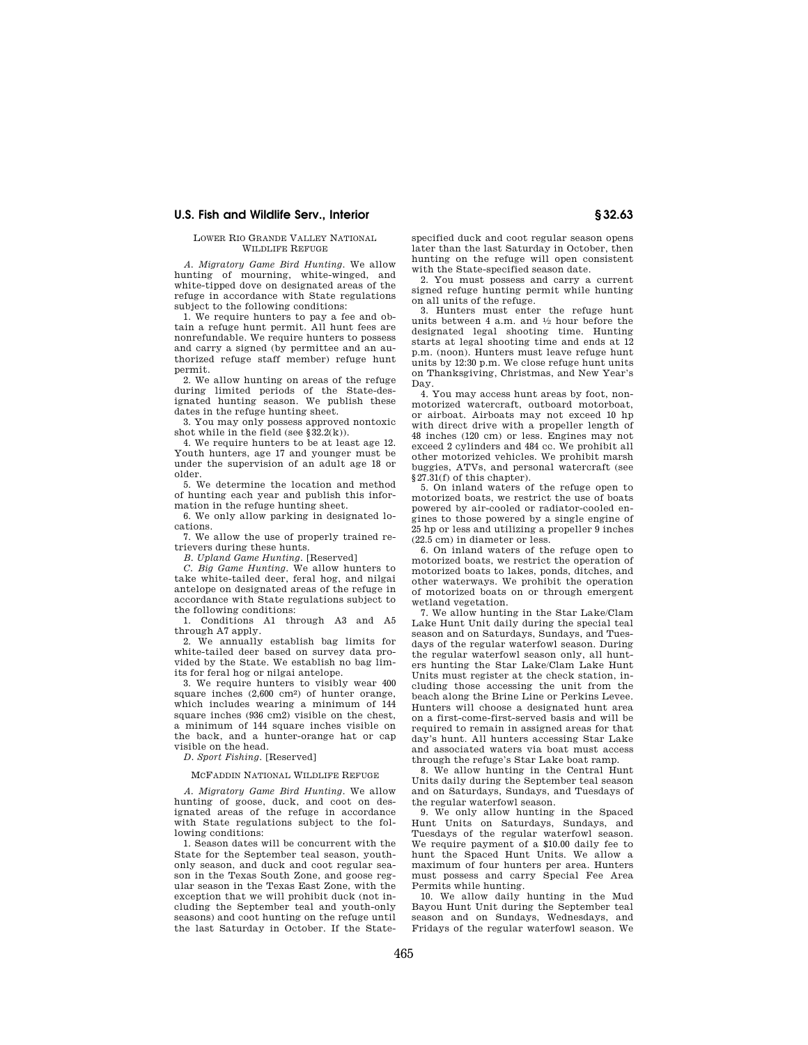## LOWER RIO GRANDE VALLEY NATIONAL WILDLIFE REFUGE

*A. Migratory Game Bird Hunting.* We allow hunting of mourning, white-winged, and white-tipped dove on designated areas of the refuge in accordance with State regulations subject to the following conditions:

1. We require hunters to pay a fee and obtain a refuge hunt permit. All hunt fees are nonrefundable. We require hunters to possess and carry a signed (by permittee and an authorized refuge staff member) refuge hunt permit.

2. We allow hunting on areas of the refuge during limited periods of the State-designated hunting season. We publish these dates in the refuge hunting sheet.

3. You may only possess approved nontoxic shot while in the field (see  $§ 32.2(k)$ ).

4. We require hunters to be at least age 12. Youth hunters, age 17 and younger must be under the supervision of an adult age 18 or older.

5. We determine the location and method of hunting each year and publish this information in the refuge hunting sheet.

6. We only allow parking in designated locations.

7. We allow the use of properly trained retrievers during these hunts.

*B. Upland Game Hunting.* [Reserved]

*C. Big Game Hunting.* We allow hunters to take white-tailed deer, feral hog, and nilgai antelope on designated areas of the refuge in accordance with State regulations subject to the following conditions:

1. Conditions A1 through A3 and A5 through A7 apply.

2. We annually establish bag limits for white-tailed deer based on survey data provided by the State. We establish no bag limits for feral hog or nilgai antelope.

3. We require hunters to visibly wear 400 square inches (2,600 cm2) of hunter orange, which includes wearing a minimum of 144 square inches (936 cm2) visible on the chest. a minimum of 144 square inches visible on the back, and a hunter-orange hat or cap visible on the head.

*D. Sport Fishing.* [Reserved]

## MCFADDIN NATIONAL WILDLIFE REFUGE

*A. Migratory Game Bird Hunting*. We allow hunting of goose, duck, and coot on designated areas of the refuge in accordance with State regulations subject to the following conditions:

1. Season dates will be concurrent with the State for the September teal season, youthonly season, and duck and coot regular season in the Texas South Zone, and goose regular season in the Texas East Zone, with the exception that we will prohibit duck (not including the September teal and youth-only seasons) and coot hunting on the refuge until the last Saturday in October. If the Statespecified duck and coot regular season opens later than the last Saturday in October, then hunting on the refuge will open consistent with the State-specified season date.

2. You must possess and carry a current signed refuge hunting permit while hunting on all units of the refuge.

3. Hunters must enter the refuge hunt units between 4 a.m. and 1⁄2 hour before the designated legal shooting time. Hunting starts at legal shooting time and ends at 12 p.m. (noon). Hunters must leave refuge hunt units by 12:30 p.m. We close refuge hunt units on Thanksgiving, Christmas, and New Year's Day.

4. You may access hunt areas by foot, nonmotorized watercraft, outboard motorboat, or airboat. Airboats may not exceed 10 hp with direct drive with a propeller length of 48 inches (120 cm) or less. Engines may not exceed 2 cylinders and 484 cc. We prohibit all other motorized vehicles. We prohibit marsh buggies, ATVs, and personal watercraft (see §27.31(f) of this chapter).

5. On inland waters of the refuge open to motorized boats, we restrict the use of boats powered by air-cooled or radiator-cooled engines to those powered by a single engine of 25 hp or less and utilizing a propeller 9 inches (22.5 cm) in diameter or less.

6. On inland waters of the refuge open to motorized boats, we restrict the operation of motorized boats to lakes, ponds, ditches, and other waterways. We prohibit the operation of motorized boats on or through emergent wetland vegetation.

7. We allow hunting in the Star Lake/Clam Lake Hunt Unit daily during the special teal season and on Saturdays, Sundays, and Tuesdays of the regular waterfowl season. During the regular waterfowl season only, all hunters hunting the Star Lake/Clam Lake Hunt Units must register at the check station, including those accessing the unit from the beach along the Brine Line or Perkins Levee. Hunters will choose a designated hunt area on a first-come-first-served basis and will be required to remain in assigned areas for that day's hunt. All hunters accessing Star Lake and associated waters via boat must access through the refuge's Star Lake boat ramp.

8. We allow hunting in the Central Hunt Units daily during the September teal season and on Saturdays, Sundays, and Tuesdays of the regular waterfowl season.

9. We only allow hunting in the Spaced Hunt Units on Saturdays, Sundays, and Tuesdays of the regular waterfowl season. We require payment of a \$10.00 daily fee to hunt the Spaced Hunt Units. We allow a maximum of four hunters per area. Hunters must possess and carry Special Fee Area

Permits while hunting. 10. We allow daily hunting in the Mud Bayou Hunt Unit during the September teal season and on Sundays, Wednesdays, and Fridays of the regular waterfowl season. We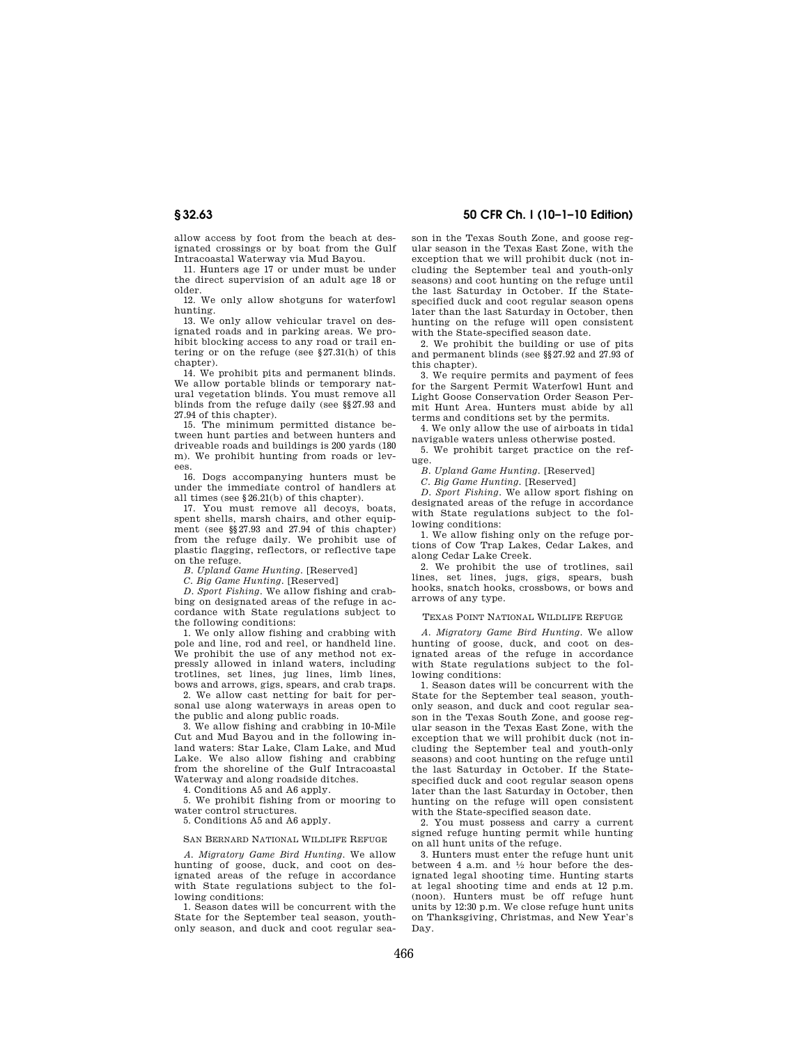allow access by foot from the beach at designated crossings or by boat from the Gulf Intracoastal Waterway via Mud Bayou.

11. Hunters age 17 or under must be under the direct supervision of an adult age 18 or older.

12. We only allow shotguns for waterfowl hunting.

13. We only allow vehicular travel on designated roads and in parking areas. We prohibit blocking access to any road or trail entering or on the refuge (see §27.31(h) of this chapter).

14. We prohibit pits and permanent blinds. We allow portable blinds or temporary natural vegetation blinds. You must remove all blinds from the refuge daily (see §§27.93 and 27.94 of this chapter).

15. The minimum permitted distance between hunt parties and between hunters and driveable roads and buildings is 200 yards (180 m). We prohibit hunting from roads or levees.

16. Dogs accompanying hunters must be under the immediate control of handlers at all times (see §26.21(b) of this chapter).

17. You must remove all decoys, boats, spent shells, marsh chairs, and other equipment (see §§27.93 and 27.94 of this chapter) from the refuge daily. We prohibit use of plastic flagging, reflectors, or reflective tape on the refuge.

*B. Upland Game Hunting.* [Reserved]

*C. Big Game Hunting.* [Reserved]

*D. Sport Fishing*. We allow fishing and crabbing on designated areas of the refuge in accordance with State regulations subject to the following conditions:

1. We only allow fishing and crabbing with pole and line, rod and reel, or handheld line. We prohibit the use of any method not expressly allowed in inland waters, including trotlines, set lines, jug lines, limb lines, bows and arrows, gigs, spears, and crab traps.

2. We allow cast netting for bait for personal use along waterways in areas open to the public and along public roads.

3. We allow fishing and crabbing in 10-Mile Cut and Mud Bayou and in the following inland waters: Star Lake, Clam Lake, and Mud Lake. We also allow fishing and crabbing from the shoreline of the Gulf Intracoastal Waterway and along roadside ditches.

4. Conditions A5 and A6 apply.

5. We prohibit fishing from or mooring to water control structures.

5. Conditions A5 and A6 apply.

#### SAN BERNARD NATIONAL WILDLIFE REFUGE

*A. Migratory Game Bird Hunting.* We allow hunting of goose, duck, and coot on designated areas of the refuge in accordance with State regulations subject to the following conditions:

1. Season dates will be concurrent with the State for the September teal season, youthonly season, and duck and coot regular sea-

# **§ 32.63 50 CFR Ch. I (10–1–10 Edition)**

son in the Texas South Zone, and goose regular season in the Texas East Zone, with the exception that we will prohibit duck (not including the September teal and youth-only seasons) and coot hunting on the refuge until the last Saturday in October. If the Statespecified duck and coot regular season opens later than the last Saturday in October, then hunting on the refuge will open consistent with the State-specified season date.

2. We prohibit the building or use of pits and permanent blinds (see §§27.92 and 27.93 of this chapter).

3. We require permits and payment of fees for the Sargent Permit Waterfowl Hunt and Light Goose Conservation Order Season Permit Hunt Area. Hunters must abide by all terms and conditions set by the permits.

4. We only allow the use of airboats in tidal navigable waters unless otherwise posted.

5. We prohibit target practice on the refuge.

*B. Upland Game Hunting.* [Reserved]

*C. Big Game Hunting.* [Reserved]

*D. Sport Fishing*. We allow sport fishing on designated areas of the refuge in accordance with State regulations subject to the following conditions:

1. We allow fishing only on the refuge portions of Cow Trap Lakes, Cedar Lakes, and along Cedar Lake Creek.

2. We prohibit the use of trotlines, sail lines, set lines, jugs, gigs, spears, bush hooks, snatch hooks, crossbows, or bows and arrows of any type.

## TEXAS POINT NATIONAL WILDLIFE REFUGE

*A. Migratory Game Bird Hunting.* We allow hunting of goose, duck, and coot on designated areas of the refuge in accordance with State regulations subject to the following conditions:

1. Season dates will be concurrent with the State for the September teal season, youthonly season, and duck and coot regular season in the Texas South Zone, and goose regular season in the Texas East Zone, with the exception that we will prohibit duck (not including the September teal and youth-only seasons) and coot hunting on the refuge until the last Saturday in October. If the Statespecified duck and coot regular season opens later than the last Saturday in October, then hunting on the refuge will open consistent with the State-specified season date.

2. You must possess and carry a current signed refuge hunting permit while hunting on all hunt units of the refuge.

3. Hunters must enter the refuge hunt unit between 4 a.m. and  $\frac{1}{2}$  hour before the designated legal shooting time. Hunting starts at legal shooting time and ends at 12 p.m. (noon). Hunters must be off refuge hunt units by 12:30 p.m. We close refuge hunt units on Thanksgiving, Christmas, and New Year's Day.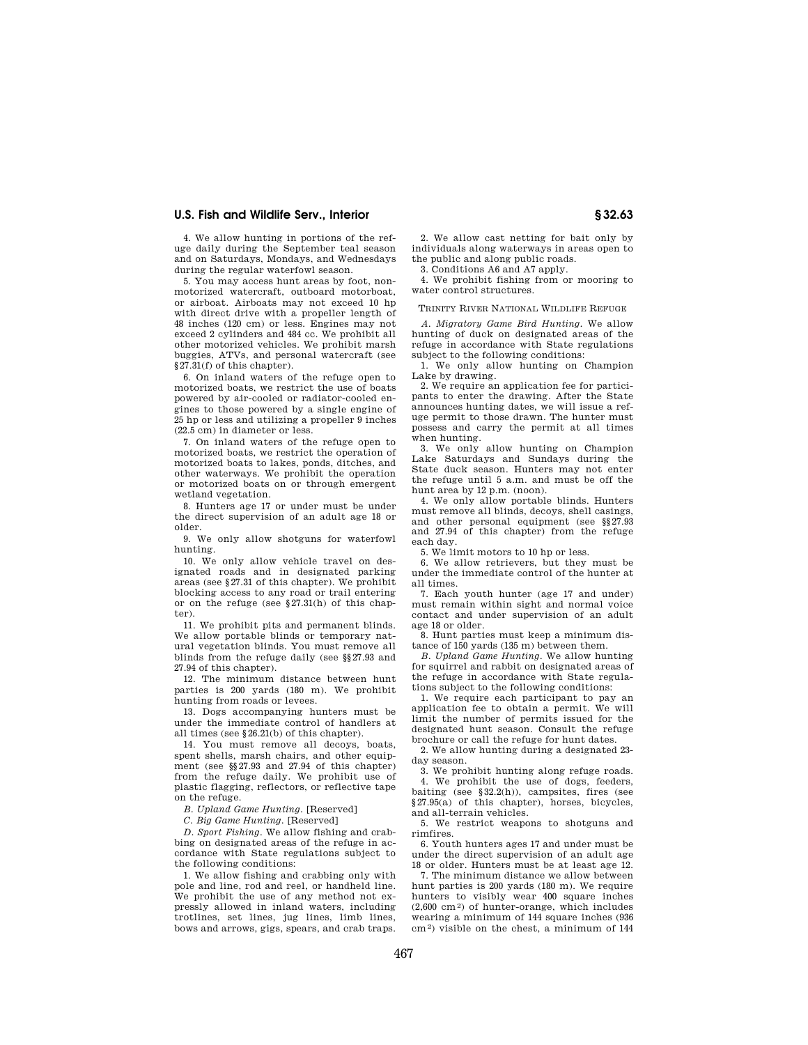4. We allow hunting in portions of the refuge daily during the September teal season and on Saturdays, Mondays, and Wednesdays during the regular waterfowl season.

5. You may access hunt areas by foot, nonmotorized watercraft, outboard motorboat, or airboat. Airboats may not exceed 10 hp with direct drive with a propeller length of 48 inches (120 cm) or less. Engines may not exceed 2 cylinders and 484 cc. We prohibit all other motorized vehicles. We prohibit marsh buggies, ATVs, and personal watercraft (see §27.31(f) of this chapter).

6. On inland waters of the refuge open to motorized boats, we restrict the use of boats powered by air-cooled or radiator-cooled engines to those powered by a single engine of 25 hp or less and utilizing a propeller 9 inches (22.5 cm) in diameter or less.

7. On inland waters of the refuge open to motorized boats, we restrict the operation of motorized boats to lakes, ponds, ditches, and other waterways. We prohibit the operation or motorized boats on or through emergent wetland vegetation.

8. Hunters age 17 or under must be under the direct supervision of an adult age 18 or older.

9. We only allow shotguns for waterfowl hunting.

10. We only allow vehicle travel on designated roads and in designated parking areas (see §27.31 of this chapter). We prohibit blocking access to any road or trail entering or on the refuge (see §27.31(h) of this chapter).

11. We prohibit pits and permanent blinds. We allow portable blinds or temporary natural vegetation blinds. You must remove all blinds from the refuge daily (see §§27.93 and 27.94 of this chapter).

12. The minimum distance between hunt parties is 200 yards (180 m). We prohibit hunting from roads or levees.

13. Dogs accompanying hunters must be under the immediate control of handlers at all times (see §26.21(b) of this chapter).

14. You must remove all decoys, boats, spent shells, marsh chairs, and other equipment (see §§27.93 and 27.94 of this chapter) from the refuge daily. We prohibit use of plastic flagging, reflectors, or reflective tape on the refuge.

*B. Upland Game Hunting.* [Reserved]

*C. Big Game Hunting.* [Reserved]

*D. Sport Fishing*. We allow fishing and crabbing on designated areas of the refuge in accordance with State regulations subject to the following conditions:

1. We allow fishing and crabbing only with pole and line, rod and reel, or handheld line. We prohibit the use of any method not expressly allowed in inland waters, including trotlines, set lines, jug lines, limb lines, bows and arrows, gigs, spears, and crab traps.

2. We allow cast netting for bait only by individuals along waterways in areas open to the public and along public roads. 3. Conditions A6 and A7 apply.

4. We prohibit fishing from or mooring to

water control structures.

#### TRINITY RIVER NATIONAL WILDLIFE REFUGE

*A. Migratory Game Bird Hunting.* We allow hunting of duck on designated areas of the refuge in accordance with State regulations subject to the following conditions:

1. We only allow hunting on Champion Lake by drawing.

2. We require an application fee for participants to enter the drawing. After the State announces hunting dates, we will issue a refuge permit to those drawn. The hunter must possess and carry the permit at all times when hunting.

3. We only allow hunting on Champion Lake Saturdays and Sundays during the State duck season. Hunters may not enter the refuge until 5 a.m. and must be off the hunt area by 12 p.m. (noon).

4. We only allow portable blinds. Hunters must remove all blinds, decoys, shell casings, and other personal equipment (see §§27.93 and 27.94 of this chapter) from the refuge each day.

5. We limit motors to 10 hp or less.

6. We allow retrievers, but they must be under the immediate control of the hunter at all times.

7. Each youth hunter (age 17 and under) must remain within sight and normal voice contact and under supervision of an adult age 18 or older.

8. Hunt parties must keep a minimum distance of 150 yards (135 m) between them.

*B. Upland Game Hunting.* We allow hunting for squirrel and rabbit on designated areas of the refuge in accordance with State regulations subject to the following conditions:

1. We require each participant to pay an application fee to obtain a permit. We will limit the number of permits issued for the designated hunt season. Consult the refuge brochure or call the refuge for hunt dates.

2. We allow hunting during a designated 23 day season.

3. We prohibit hunting along refuge roads. 4. We prohibit the use of dogs, feeders, baiting (see  $\S 32.2(h)$ ), campsites, fires (see §27.95(a) of this chapter), horses, bicycles, and all-terrain vehicles.

5. We restrict weapons to shotguns and rimfires.

6. Youth hunters ages 17 and under must be under the direct supervision of an adult age 18 or older. Hunters must be at least age 12.

7. The minimum distance we allow between hunt parties is 200 yards (180 m). We require hunters to visibly wear 400 square inches (2,600 cm2) of hunter-orange, which includes wearing a minimum of 144 square inches (936 cm2) visible on the chest, a minimum of 144